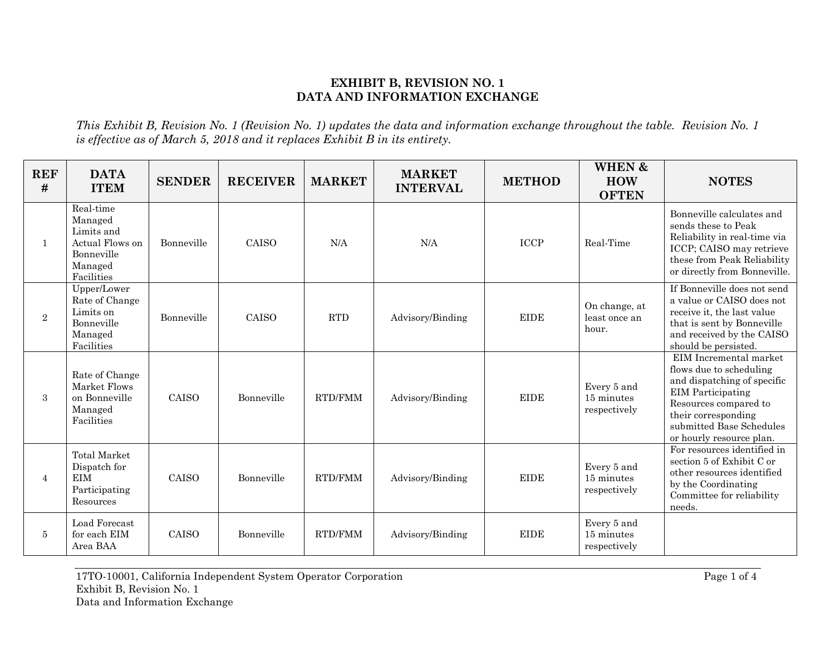## **EXHIBIT B, REVISION NO. 1 DATA AND INFORMATION EXCHANGE**

*This Exhibit B, Revision No. 1 (Revision No. 1) updates the data and information exchange throughout the table. Revision No. 1 is effective as of March 5, 2018 and it replaces Exhibit B in its entirety.*

| <b>REF</b><br># | <b>DATA</b><br><b>ITEM</b>                                                                   | <b>SENDER</b> | <b>RECEIVER</b> | <b>MARKET</b> | <b>MARKET</b><br><b>INTERVAL</b> | <b>METHOD</b>              | <b>WHEN &amp;</b><br><b>HOW</b><br><b>OFTEN</b> | <b>NOTES</b>                                                                                                                                                                                                         |
|-----------------|----------------------------------------------------------------------------------------------|---------------|-----------------|---------------|----------------------------------|----------------------------|-------------------------------------------------|----------------------------------------------------------------------------------------------------------------------------------------------------------------------------------------------------------------------|
| $\mathbf{1}$    | Real-time<br>Managed<br>Limits and<br>Actual Flows on<br>Bonneville<br>Managed<br>Facilities | Bonneville    | CAISO           | N/A           | N/A                              | $\ensuremath{\text{ICCP}}$ | Real-Time                                       | Bonneville calculates and<br>sends these to Peak<br>Reliability in real-time via<br>ICCP; CAISO may retrieve<br>these from Peak Reliability<br>or directly from Bonneville.                                          |
| $\overline{2}$  | Upper/Lower<br>Rate of Change<br>Limits on<br>Bonneville<br>Managed<br>Facilities            | Bonneville    | <b>CAISO</b>    | <b>RTD</b>    | Advisory/Binding                 | <b>EIDE</b>                | On change, at<br>least once an<br>hour.         | If Bonneville does not send<br>a value or CAISO does not<br>receive it, the last value<br>that is sent by Bonneville<br>and received by the CAISO<br>should be persisted.                                            |
| 3               | Rate of Change<br>Market Flows<br>on Bonneville<br>Managed<br>Facilities                     | <b>CAISO</b>  | Bonneville      | RTD/FMM       | Advisory/Binding                 | <b>EIDE</b>                | Every 5 and<br>15 minutes<br>respectively       | EIM Incremental market<br>flows due to scheduling<br>and dispatching of specific<br><b>EIM</b> Participating<br>Resources compared to<br>their corresponding<br>submitted Base Schedules<br>or hourly resource plan. |
| 4               | <b>Total Market</b><br>Dispatch for<br><b>EIM</b><br>Participating<br>Resources              | <b>CAISO</b>  | Bonneville      | RTD/FMM       | Advisory/Binding                 | <b>EIDE</b>                | Every 5 and<br>15 minutes<br>respectively       | For resources identified in<br>section 5 of Exhibit C or<br>other resources identified<br>by the Coordinating<br>Committee for reliability<br>needs.                                                                 |
| 5               | Load Forecast<br>for each EIM<br>Area BAA                                                    | CAISO         | Bonneville      | RTD/FMM       | Advisory/Binding                 | <b>EIDE</b>                | Every 5 and<br>15 minutes<br>respectively       |                                                                                                                                                                                                                      |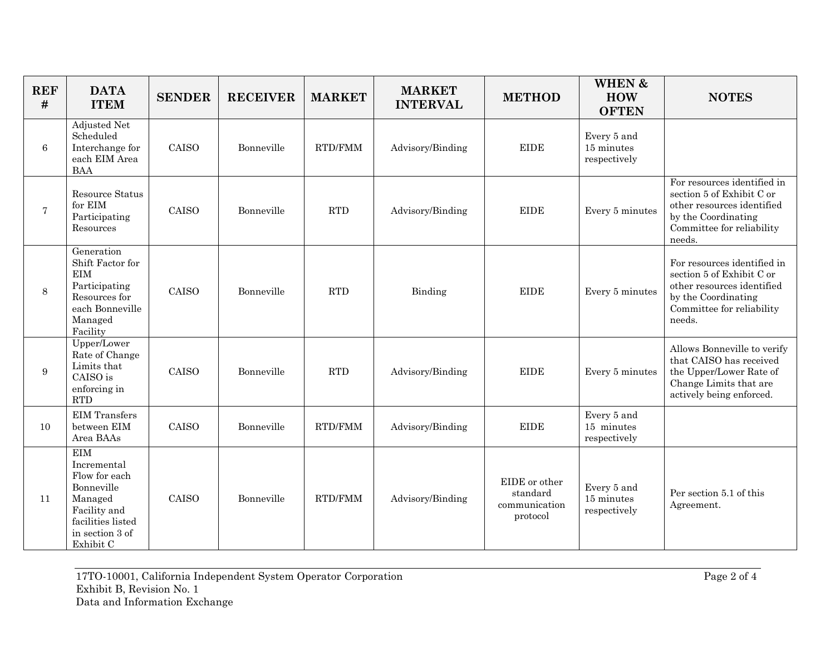| <b>REF</b><br># | <b>DATA</b><br><b>ITEM</b>                                                                                                               | <b>SENDER</b> | <b>RECEIVER</b> | <b>MARKET</b>  | <b>MARKET</b><br><b>INTERVAL</b> | <b>METHOD</b>                                          | <b>WHEN &amp;</b><br><b>HOW</b><br><b>OFTEN</b> | <b>NOTES</b>                                                                                                                                         |
|-----------------|------------------------------------------------------------------------------------------------------------------------------------------|---------------|-----------------|----------------|----------------------------------|--------------------------------------------------------|-------------------------------------------------|------------------------------------------------------------------------------------------------------------------------------------------------------|
| 6               | Adjusted Net<br>Scheduled<br>Interchange for<br>each EIM Area<br><b>BAA</b>                                                              | CAISO         | Bonneville      | RTD/FMM        | Advisory/Binding                 | <b>EIDE</b>                                            | Every 5 and<br>15 minutes<br>respectively       |                                                                                                                                                      |
| $\overline{7}$  | Resource Status<br>for $\mathop{\rm EIM}\nolimits$<br>Participating<br>Resources                                                         | CAISO         | Bonneville      | RTD            | Advisory/Binding                 | <b>EIDE</b>                                            | Every 5 minutes                                 | For resources identified in<br>section 5 of Exhibit C or<br>other resources identified<br>by the Coordinating<br>Committee for reliability<br>needs. |
| 8               | Generation<br>Shift Factor for<br>EIM<br>Participating<br>Resources for<br>each Bonneville<br>Managed<br>Facility                        | CAISO         | Bonneville      | RTD            | Binding                          | <b>EIDE</b>                                            | Every 5 minutes                                 | For resources identified in<br>section 5 of Exhibit C or<br>other resources identified<br>by the Coordinating<br>Committee for reliability<br>needs. |
| 9               | Upper/Lower<br>Rate of Change<br>Limits that<br>CAISO is<br>enforcing in<br><b>RTD</b>                                                   | CAISO         | Bonneville      | RTD            | Advisory/Binding                 | <b>EIDE</b>                                            | Every 5 minutes                                 | Allows Bonneville to verify<br>that CAISO has received<br>the Upper/Lower Rate of<br>Change Limits that are<br>actively being enforced.              |
| 10              | <b>EIM</b> Transfers<br>between EIM<br>Area BAAs                                                                                         | CAISO         | Bonneville      | RTD/FMM        | Advisory/Binding                 | <b>EIDE</b>                                            | Every 5 and<br>15 minutes<br>respectively       |                                                                                                                                                      |
| 11              | <b>EIM</b><br>Incremental<br>Flow for each<br>Bonneville<br>Managed<br>Facility and<br>facilities listed<br>in section 3 of<br>Exhibit C | CAISO         | Bonneville      | <b>RTD/FMM</b> | Advisory/Binding                 | EIDE or other<br>standard<br>communication<br>protocol | Every 5 and<br>15 minutes<br>respectively       | Per section 5.1 of this<br>Agreement.                                                                                                                |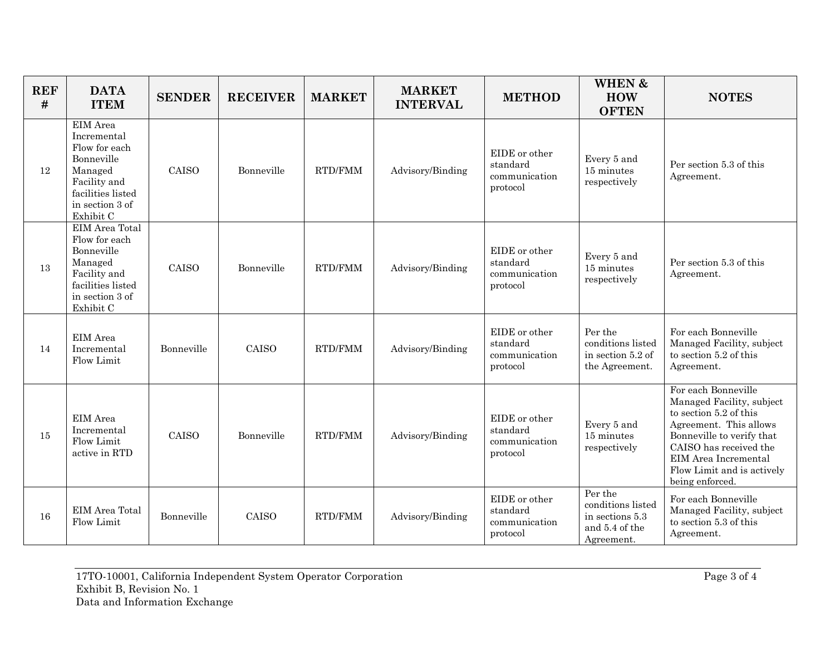| <b>REF</b><br># | <b>DATA</b><br><b>ITEM</b>                                                                                                             | <b>SENDER</b> | <b>RECEIVER</b> | <b>MARKET</b>  | <b>MARKET</b><br><b>INTERVAL</b> | <b>METHOD</b>                                          | <b>WHEN &amp;</b><br><b>HOW</b><br><b>OFTEN</b>                                 | <b>NOTES</b>                                                                                                                                                                                                                         |
|-----------------|----------------------------------------------------------------------------------------------------------------------------------------|---------------|-----------------|----------------|----------------------------------|--------------------------------------------------------|---------------------------------------------------------------------------------|--------------------------------------------------------------------------------------------------------------------------------------------------------------------------------------------------------------------------------------|
| 12              | EIM Area<br>Incremental<br>Flow for each<br>Bonneville<br>Managed<br>Facility and<br>facilities listed<br>in section 3 of<br>Exhibit C | CAISO         | Bonneville      | RTD/FMM        | Advisory/Binding                 | EIDE or other<br>standard<br>communication<br>protocol | Every 5 and<br>15 minutes<br>respectively                                       | Per section 5.3 of this<br>Agreement.                                                                                                                                                                                                |
| 13              | EIM Area Total<br>Flow for each<br>Bonneville<br>Managed<br>Facility and<br>facilities listed<br>in section 3 of<br>Exhibit C          | CAISO         | Bonneville      | <b>RTD/FMM</b> | Advisory/Binding                 | EIDE or other<br>standard<br>communication<br>protocol | Every 5 and<br>15 minutes<br>respectively                                       | Per section 5.3 of this<br>Agreement.                                                                                                                                                                                                |
| 14              | EIM Area<br>Incremental<br>Flow Limit                                                                                                  | Bonneville    | CAISO           | RTD/FMM        | Advisory/Binding                 | EIDE or other<br>standard<br>communication<br>protocol | Per the<br>conditions listed<br>in section 5.2 of<br>the Agreement.             | For each Bonneville<br>Managed Facility, subject<br>to section 5.2 of this<br>Agreement.                                                                                                                                             |
| 15              | EIM Area<br>Incremental<br>Flow Limit<br>active in RTD                                                                                 | CAISO         | Bonneville      | <b>RTD/FMM</b> | Advisory/Binding                 | EIDE or other<br>standard<br>communication<br>protocol | Every 5 and<br>15 minutes<br>respectively                                       | For each Bonneville<br>Managed Facility, subject<br>to section 5.2 of this<br>Agreement. This allows<br>Bonneville to verify that<br>CAISO has received the<br>EIM Area Incremental<br>Flow Limit and is actively<br>being enforced. |
| 16              | EIM Area Total<br>Flow Limit                                                                                                           | Bonneville    | CAISO           | RTD/FMM        | Advisory/Binding                 | EIDE or other<br>standard<br>communication<br>protocol | Per the<br>conditions listed<br>in sections 5.3<br>and 5.4 of the<br>Agreement. | For each Bonneville<br>Managed Facility, subject<br>to section 5.3 of this<br>Agreement.                                                                                                                                             |